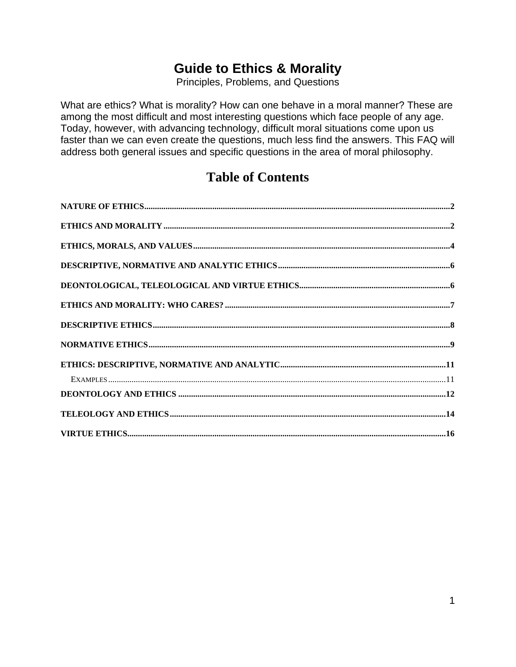# **Guide to Ethics & Morality**

Principles, Problems, and Questions

What are ethics? What is morality? How can one behave in a moral manner? These are among the most difficult and most interesting questions which face people of any age. Today, however, with advancing technology, difficult moral situations come upon us faster than we can even create the questions, much less find the answers. This FAQ will address both general issues and specific questions in the area of moral philosophy.

# **Table of Contents**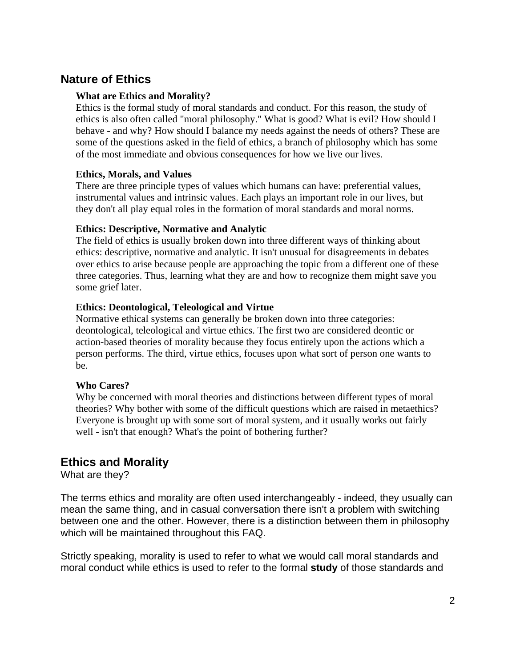### <span id="page-1-0"></span>**Nature of Ethics**

### **What are Ethics and Morality?**

Ethics is the formal study of moral standards and conduct. For this reason, the study of ethics is also often called "moral philosophy." What is good? What is evil? How should I behave - and why? How should I balance my needs against the needs of others? These are some of the questions asked in the field of ethics, a branch of philosophy which has some of the most immediate and obvious consequences for how we live our lives.

### **Ethics, Morals, and Values**

There are three principle types of values which humans can have: preferential values, instrumental values and intrinsic values. Each plays an important role in our lives, but they don't all play equal roles in the formation of moral standards and moral norms.

#### **Ethics: Descriptive, Normative and Analytic**

The field of ethics is usually broken down into three different ways of thinking about ethics: descriptive, normative and analytic. It isn't unusual for disagreements in debates over ethics to arise because people are approaching the topic from a different one of these three categories. Thus, learning what they are and how to recognize them might save you some grief later.

#### **Ethics: Deontological, Teleological and Virtue**

Normative ethical systems can generally be broken down into three categories: deontological, teleological and virtue ethics. The first two are considered deontic or action-based theories of morality because they focus entirely upon the actions which a person performs. The third, virtue ethics, focuses upon what sort of person one wants to be.

### **Who Cares?**

Why be concerned with moral theories and distinctions between different types of moral theories? Why bother with some of the difficult questions which are raised in metaethics? Everyone is brought up with some sort of moral system, and it usually works out fairly well - isn't that enough? What's the point of bothering further?

# **Ethics and Morality**

What are they?

The terms ethics and morality are often used interchangeably - indeed, they usually can mean the same thing, and in casual conversation there isn't a problem with switching between one and the other. However, there is a distinction between them in philosophy which will be maintained throughout this FAQ.

Strictly speaking, morality is used to refer to what we would call moral standards and moral conduct while ethics is used to refer to the formal **study** of those standards and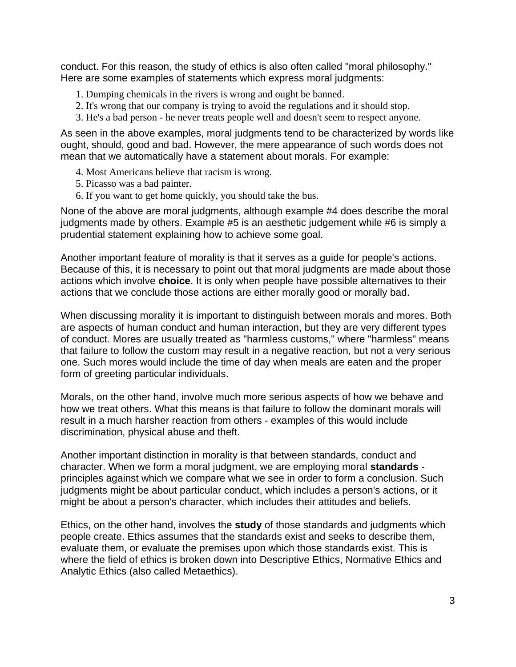conduct. For this reason, the study of ethics is also often called "moral philosophy." Here are some examples of statements which express moral judgments:

- 1. Dumping chemicals in the rivers is wrong and ought be banned.
- 2. It's wrong that our company is trying to avoid the regulations and it should stop.
- 3. He's a bad person he never treats people well and doesn't seem to respect anyone.

As seen in the above examples, moral judgments tend to be characterized by words like ought, should, good and bad. However, the mere appearance of such words does not mean that we automatically have a statement about morals. For example:

- 4. Most Americans believe that racism is wrong.
- 5. Picasso was a bad painter.
- 6. If you want to get home quickly, you should take the bus.

None of the above are moral judgments, although example #4 does describe the moral judgments made by others. Example #5 is an aesthetic judgement while #6 is simply a prudential statement explaining how to achieve some goal.

Another important feature of morality is that it serves as a guide for people's actions. Because of this, it is necessary to point out that moral judgments are made about those actions which involve **choice**. It is only when people have possible alternatives to their actions that we conclude those actions are either morally good or morally bad.

When discussing morality it is important to distinguish between morals and mores. Both are aspects of human conduct and human interaction, but they are very different types of conduct. Mores are usually treated as "harmless customs," where "harmless" means that failure to follow the custom may result in a negative reaction, but not a very serious one. Such mores would include the time of day when meals are eaten and the proper form of greeting particular individuals.

Morals, on the other hand, involve much more serious aspects of how we behave and how we treat others. What this means is that failure to follow the dominant morals will result in a much harsher reaction from others - examples of this would include discrimination, physical abuse and theft.

Another important distinction in morality is that between standards, conduct and character. When we form a moral judgment, we are employing moral **standards** principles against which we compare what we see in order to form a conclusion. Such judgments might be about particular conduct, which includes a person's actions, or it might be about a person's character, which includes their attitudes and beliefs.

Ethics, on the other hand, involves the **study** of those standards and judgments which people create. Ethics assumes that the standards exist and seeks to describe them, evaluate them, or evaluate the premises upon which those standards exist. This is where the field of ethics is broken down into Descriptive Ethics, Normative Ethics and Analytic Ethics (also called Metaethics).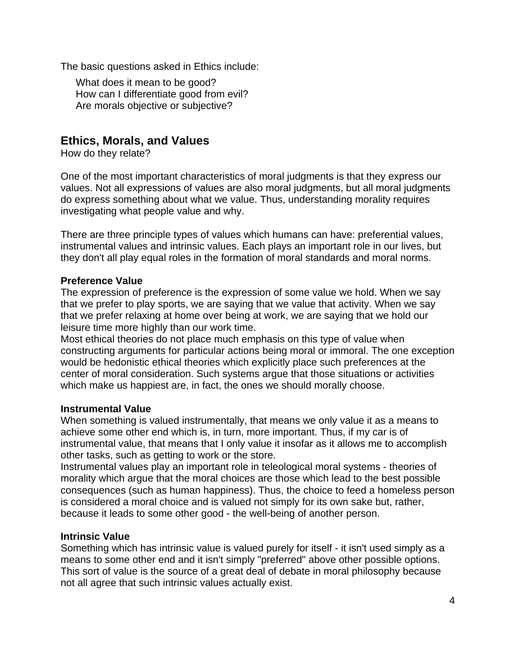<span id="page-3-0"></span>The basic questions asked in Ethics include:

What does it mean to be good? How can I differentiate good from evil? Are morals objective or subjective?

### **Ethics, Morals, and Values**

How do they relate?

One of the most important characteristics of moral judgments is that they express our values. Not all expressions of values are also moral judgments, but all moral judgments do express something about what we value. Thus, understanding morality requires investigating what people value and why.

There are three principle types of values which humans can have: preferential values, instrumental values and intrinsic values. Each plays an important role in our lives, but they don't all play equal roles in the formation of moral standards and moral norms.

### **Preference Value**

The expression of preference is the expression of some value we hold. When we say that we prefer to play sports, we are saying that we value that activity. When we say that we prefer relaxing at home over being at work, we are saying that we hold our leisure time more highly than our work time.

Most ethical theories do not place much emphasis on this type of value when constructing arguments for particular actions being moral or immoral. The one exception would be hedonistic ethical theories which explicitly place such preferences at the center of moral consideration. Such systems argue that those situations or activities which make us happiest are, in fact, the ones we should morally choose.

### **Instrumental Value**

When something is valued instrumentally, that means we only value it as a means to achieve some other end which is, in turn, more important. Thus, if my car is of instrumental value, that means that I only value it insofar as it allows me to accomplish other tasks, such as getting to work or the store.

Instrumental values play an important role in teleological moral systems - theories of morality which argue that the moral choices are those which lead to the best possible consequences (such as human happiness). Thus, the choice to feed a homeless person is considered a moral choice and is valued not simply for its own sake but, rather, because it leads to some other good - the well-being of another person.

### **Intrinsic Value**

Something which has intrinsic value is valued purely for itself - it isn't used simply as a means to some other end and it isn't simply "preferred" above other possible options. This sort of value is the source of a great deal of debate in moral philosophy because not all agree that such intrinsic values actually exist.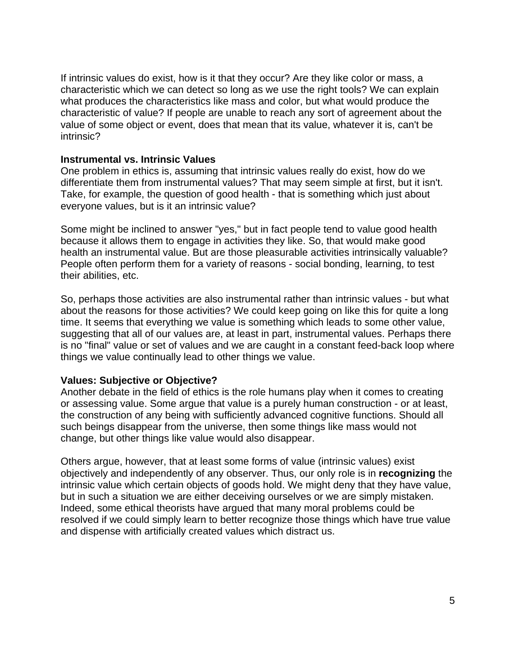If intrinsic values do exist, how is it that they occur? Are they like color or mass, a characteristic which we can detect so long as we use the right tools? We can explain what produces the characteristics like mass and color, but what would produce the characteristic of value? If people are unable to reach any sort of agreement about the value of some object or event, does that mean that its value, whatever it is, can't be intrinsic?

#### **Instrumental vs. Intrinsic Values**

One problem in ethics is, assuming that intrinsic values really do exist, how do we differentiate them from instrumental values? That may seem simple at first, but it isn't. Take, for example, the question of good health - that is something which just about everyone values, but is it an intrinsic value?

Some might be inclined to answer "yes," but in fact people tend to value good health because it allows them to engage in activities they like. So, that would make good health an instrumental value. But are those pleasurable activities intrinsically valuable? People often perform them for a variety of reasons - social bonding, learning, to test their abilities, etc.

So, perhaps those activities are also instrumental rather than intrinsic values - but what about the reasons for those activities? We could keep going on like this for quite a long time. It seems that everything we value is something which leads to some other value, suggesting that all of our values are, at least in part, instrumental values. Perhaps there is no "final" value or set of values and we are caught in a constant feed-back loop where things we value continually lead to other things we value.

### **Values: Subjective or Objective?**

Another debate in the field of ethics is the role humans play when it comes to creating or assessing value. Some argue that value is a purely human construction - or at least, the construction of any being with sufficiently advanced cognitive functions. Should all such beings disappear from the universe, then some things like mass would not change, but other things like value would also disappear.

Others argue, however, that at least some forms of value (intrinsic values) exist objectively and independently of any observer. Thus, our only role is in **recognizing** the intrinsic value which certain objects of goods hold. We might deny that they have value, but in such a situation we are either deceiving ourselves or we are simply mistaken. Indeed, some ethical theorists have argued that many moral problems could be resolved if we could simply learn to better recognize those things which have true value and dispense with artificially created values which distract us.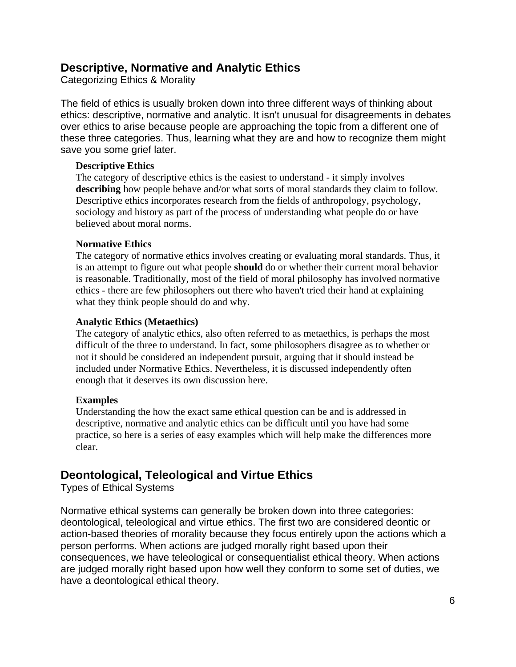### <span id="page-5-0"></span>**Descriptive, Normative and Analytic Ethics**

Categorizing Ethics & Morality

The field of ethics is usually broken down into three different ways of thinking about ethics: descriptive, normative and analytic. It isn't unusual for disagreements in debates over ethics to arise because people are approaching the topic from a different one of these three categories. Thus, learning what they are and how to recognize them might save you some grief later.

#### **Descriptive Ethics**

The category of descriptive ethics is the easiest to understand - it simply involves **describing** how people behave and/or what sorts of moral standards they claim to follow. Descriptive ethics incorporates research from the fields of anthropology, psychology, sociology and history as part of the process of understanding what people do or have believed about moral norms.

#### **Normative Ethics**

The category of normative ethics involves creating or evaluating moral standards. Thus, it is an attempt to figure out what people **should** do or whether their current moral behavior is reasonable. Traditionally, most of the field of moral philosophy has involved normative ethics - there are few philosophers out there who haven't tried their hand at explaining what they think people should do and why.

#### **Analytic Ethics (Metaethics)**

The category of analytic ethics, also often referred to as metaethics, is perhaps the most difficult of the three to understand. In fact, some philosophers disagree as to whether or not it should be considered an independent pursuit, arguing that it should instead be included under Normative Ethics. Nevertheless, it is discussed independently often enough that it deserves its own discussion here.

### **Examples**

Understanding the how the exact same ethical question can be and is addressed in descriptive, normative and analytic ethics can be difficult until you have had some practice, so here is a series of easy examples which will help make the differences more clear.

# **Deontological, Teleological and Virtue Ethics**

Types of Ethical Systems

Normative ethical systems can generally be broken down into three categories: deontological, teleological and virtue ethics. The first two are considered deontic or action-based theories of morality because they focus entirely upon the actions which a person performs. When actions are judged morally right based upon their consequences, we have teleological or consequentialist ethical theory. When actions are judged morally right based upon how well they conform to some set of duties, we have a deontological ethical theory.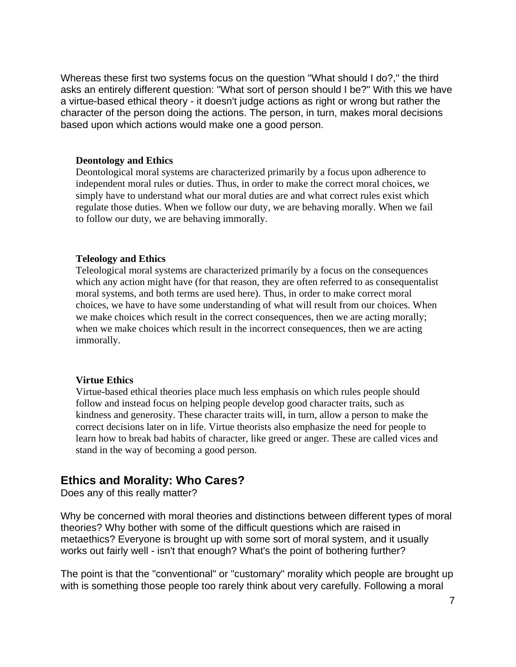<span id="page-6-0"></span>Whereas these first two systems focus on the question "What should I do?," the third asks an entirely different question: "What sort of person should I be?" With this we have a virtue-based ethical theory - it doesn't judge actions as right or wrong but rather the character of the person doing the actions. The person, in turn, makes moral decisions based upon which actions would make one a good person.

#### **Deontology and Ethics**

Deontological moral systems are characterized primarily by a focus upon adherence to independent moral rules or duties. Thus, in order to make the correct moral choices, we simply have to understand what our moral duties are and what correct rules exist which regulate those duties. When we follow our duty, we are behaving morally. When we fail to follow our duty, we are behaving immorally.

#### **Teleology and Ethics**

Teleological moral systems are characterized primarily by a focus on the consequences which any action might have (for that reason, they are often referred to as consequentalist moral systems, and both terms are used here). Thus, in order to make correct moral choices, we have to have some understanding of what will result from our choices. When we make choices which result in the correct consequences, then we are acting morally; when we make choices which result in the incorrect consequences, then we are acting immorally.

#### **Virtue Ethics**

Virtue-based ethical theories place much less emphasis on which rules people should follow and instead focus on helping people develop good character traits, such as kindness and generosity. These character traits will, in turn, allow a person to make the correct decisions later on in life. Virtue theorists also emphasize the need for people to learn how to break bad habits of character, like greed or anger. These are called vices and stand in the way of becoming a good person.

### **Ethics and Morality: Who Cares?**

Does any of this really matter?

Why be concerned with moral theories and distinctions between different types of moral theories? Why bother with some of the difficult questions which are raised in metaethics? Everyone is brought up with some sort of moral system, and it usually works out fairly well - isn't that enough? What's the point of bothering further?

The point is that the "conventional" or "customary" morality which people are brought up with is something those people too rarely think about very carefully. Following a moral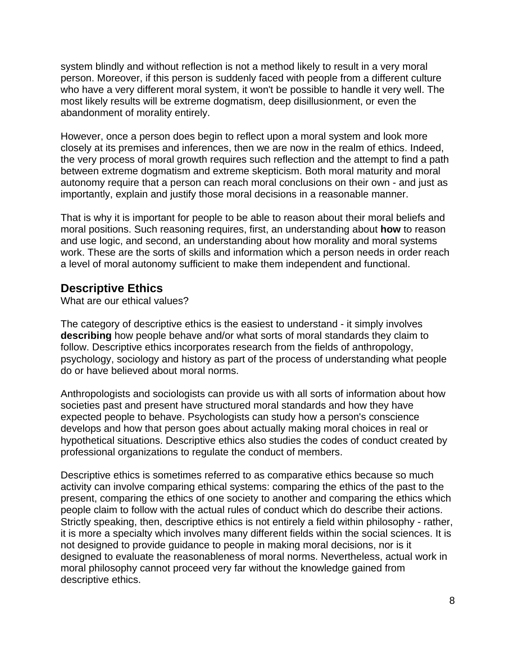<span id="page-7-0"></span>system blindly and without reflection is not a method likely to result in a very moral person. Moreover, if this person is suddenly faced with people from a different culture who have a very different moral system, it won't be possible to handle it very well. The most likely results will be extreme dogmatism, deep disillusionment, or even the abandonment of morality entirely.

However, once a person does begin to reflect upon a moral system and look more closely at its premises and inferences, then we are now in the realm of ethics. Indeed, the very process of moral growth requires such reflection and the attempt to find a path between extreme dogmatism and extreme skepticism. Both moral maturity and moral autonomy require that a person can reach moral conclusions on their own - and just as importantly, explain and justify those moral decisions in a reasonable manner.

That is why it is important for people to be able to reason about their moral beliefs and moral positions. Such reasoning requires, first, an understanding about **how** to reason and use logic, and second, an understanding about how morality and moral systems work. These are the sorts of skills and information which a person needs in order reach a level of moral autonomy sufficient to make them independent and functional.

### **Descriptive Ethics**

What are our ethical values?

The category of descriptive ethics is the easiest to understand - it simply involves **describing** how people behave and/or what sorts of moral standards they claim to follow. Descriptive ethics incorporates research from the fields of anthropology, psychology, sociology and history as part of the process of understanding what people do or have believed about moral norms.

Anthropologists and sociologists can provide us with all sorts of information about how societies past and present have structured moral standards and how they have expected people to behave. Psychologists can study how a person's conscience develops and how that person goes about actually making moral choices in real or hypothetical situations. Descriptive ethics also studies the codes of conduct created by professional organizations to regulate the conduct of members.

Descriptive ethics is sometimes referred to as comparative ethics because so much activity can involve comparing ethical systems: comparing the ethics of the past to the present, comparing the ethics of one society to another and comparing the ethics which people claim to follow with the actual rules of conduct which do describe their actions. Strictly speaking, then, descriptive ethics is not entirely a field within philosophy - rather, it is more a specialty which involves many different fields within the social sciences. It is not designed to provide guidance to people in making moral decisions, nor is it designed to evaluate the reasonableness of moral norms. Nevertheless, actual work in moral philosophy cannot proceed very far without the knowledge gained from descriptive ethics.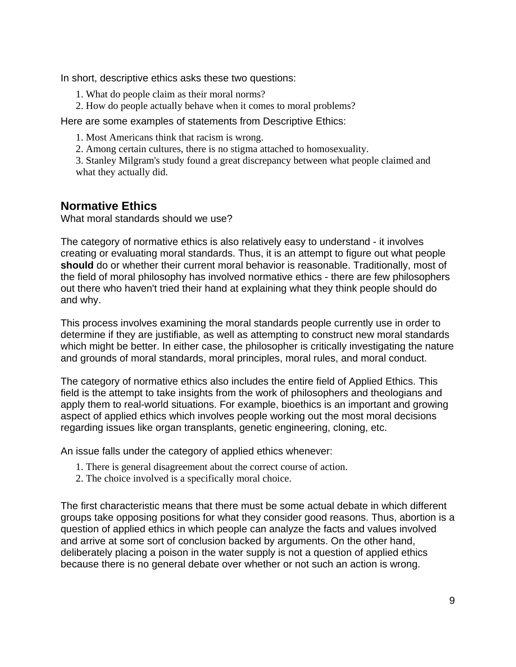<span id="page-8-0"></span>In short, descriptive ethics asks these two questions:

- 1. What do people claim as their moral norms?
- 2. How do people actually behave when it comes to moral problems?

Here are some examples of statements from Descriptive Ethics:

- 1. Most Americans think that racism is wrong.
- 2. Among certain cultures, there is no stigma attached to homosexuality.

3. Stanley Milgram's study found a great discrepancy between what people claimed and what they actually did.

### **Normative Ethics**

What moral standards should we use?

The category of normative ethics is also relatively easy to understand - it involves creating or evaluating moral standards. Thus, it is an attempt to figure out what people **should** do or whether their current moral behavior is reasonable. Traditionally, most of the field of moral philosophy has involved normative ethics - there are few philosophers out there who haven't tried their hand at explaining what they think people should do and why.

This process involves examining the moral standards people currently use in order to determine if they are justifiable, as well as attempting to construct new moral standards which might be better. In either case, the philosopher is critically investigating the nature and grounds of moral standards, moral principles, moral rules, and moral conduct.

The category of normative ethics also includes the entire field of Applied Ethics. This field is the attempt to take insights from the work of philosophers and theologians and apply them to real-world situations. For example, bioethics is an important and growing aspect of applied ethics which involves people working out the most moral decisions regarding issues like organ transplants, genetic engineering, cloning, etc.

An issue falls under the category of applied ethics whenever:

- 1. There is general disagreement about the correct course of action.
- 2. The choice involved is a specifically moral choice.

The first characteristic means that there must be some actual debate in which different groups take opposing positions for what they consider good reasons. Thus, abortion is a question of applied ethics in which people can analyze the facts and values involved and arrive at some sort of conclusion backed by arguments. On the other hand, deliberately placing a poison in the water supply is not a question of applied ethics because there is no general debate over whether or not such an action is wrong.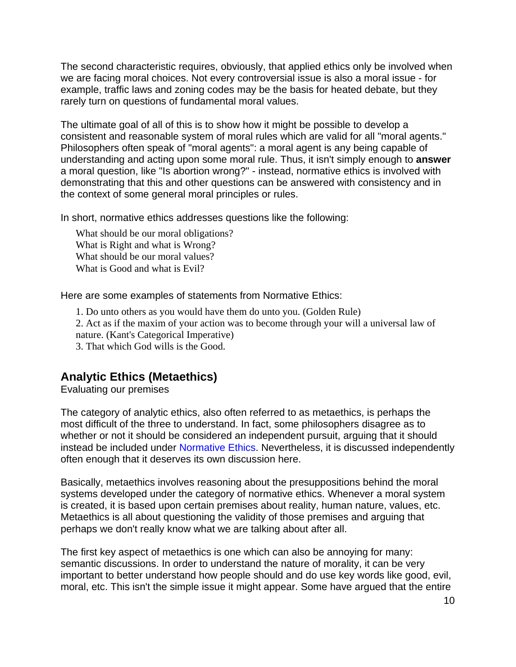The second characteristic requires, obviously, that applied ethics only be involved when we are facing moral choices. Not every controversial issue is also a moral issue - for example, traffic laws and zoning codes may be the basis for heated debate, but they rarely turn on questions of fundamental moral values.

The ultimate goal of all of this is to show how it might be possible to develop a consistent and reasonable system of moral rules which are valid for all "moral agents." Philosophers often speak of "moral agents": a moral agent is any being capable of understanding and acting upon some moral rule. Thus, it isn't simply enough to **answer** a moral question, like "Is abortion wrong?" - instead, normative ethics is involved with demonstrating that this and other questions can be answered with consistency and in the context of some general moral principles or rules.

In short, normative ethics addresses questions like the following:

What should be our moral obligations? What is Right and what is Wrong? What should be our moral values? What is Good and what is Evil?

Here are some examples of statements from Normative Ethics:

1. Do unto others as you would have them do unto you. (Golden Rule)

2. Act as if the maxim of your action was to become through your will a universal law of nature. (Kant's Categorical Imperative)

3. That which God wills is the Good.

# **Analytic Ethics (Metaethics)**

Evaluating our premises

The category of analytic ethics, also often referred to as metaethics, is perhaps the most difficult of the three to understand. In fact, some philosophers disagree as to whether or not it should be considered an independent pursuit, arguing that it should instead be included under Normative Ethics. Nevertheless, it is discussed independently often enough that it deserves its own discussion here.

Basically, metaethics involves reasoning about the presuppositions behind the moral systems developed under the category of normative ethics. Whenever a moral system is created, it is based upon certain premises about reality, human nature, values, etc. Metaethics is all about questioning the validity of those premises and arguing that perhaps we don't really know what we are talking about after all.

The first key aspect of metaethics is one which can also be annoying for many: semantic discussions. In order to understand the nature of morality, it can be very important to better understand how people should and do use key words like good, evil, moral, etc. This isn't the simple issue it might appear. Some have argued that the entire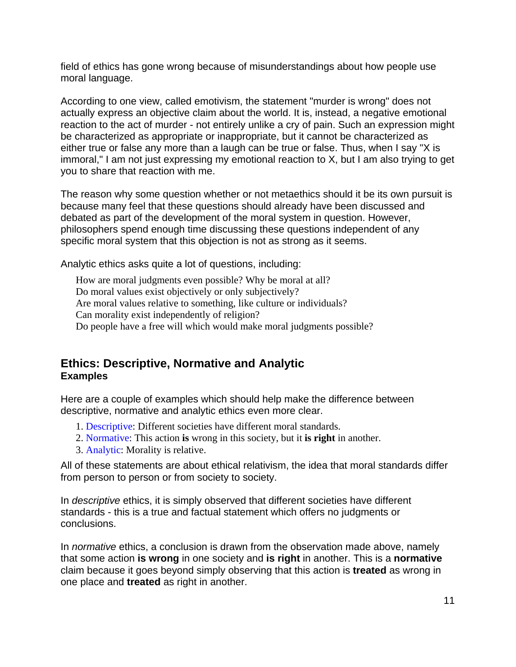<span id="page-10-0"></span>field of ethics has gone wrong because of misunderstandings about how people use moral language.

According to one view, called emotivism, the statement "murder is wrong" does not actually express an objective claim about the world. It is, instead, a negative emotional reaction to the act of murder - not entirely unlike a cry of pain. Such an expression might be characterized as appropriate or inappropriate, but it cannot be characterized as either true or false any more than a laugh can be true or false. Thus, when I say "X is immoral," I am not just expressing my emotional reaction to X, but I am also trying to get you to share that reaction with me.

The reason why some question whether or not metaethics should it be its own pursuit is because many feel that these questions should already have been discussed and debated as part of the development of the moral system in question. However, philosophers spend enough time discussing these questions independent of any specific moral system that this objection is not as strong as it seems.

Analytic ethics asks quite a lot of questions, including:

How are moral judgments even possible? Why be moral at all? Do moral values exist objectively or only subjectively? Are moral values relative to something, like culture or individuals? Can morality exist independently of religion? Do people have a free will which would make moral judgments possible?

### **Ethics: Descriptive, Normative and Analytic Examples**

Here are a couple of examples which should help make the difference between descriptive, normative and analytic ethics even more clear.

- 1. Descriptive: Different societies have different moral standards.
- 2. Normative: This action **is** wrong in this society, but it **is right** in another.
- 3. Analytic: Morality is relative.

All of these statements are about ethical relativism, the idea that moral standards differ from person to person or from society to society.

In *descriptive* ethics, it is simply observed that different societies have different standards - this is a true and factual statement which offers no judgments or conclusions.

In *normative* ethics, a conclusion is drawn from the observation made above, namely that some action **is wrong** in one society and **is right** in another. This is a **normative** claim because it goes beyond simply observing that this action is **treated** as wrong in one place and **treated** as right in another.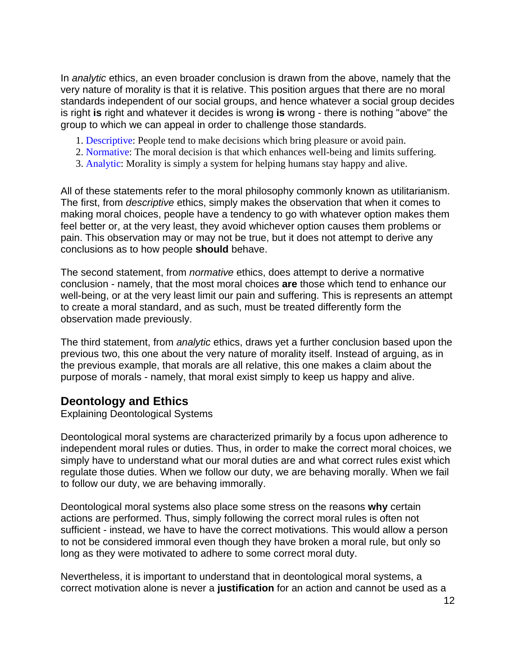<span id="page-11-0"></span>In *analytic* ethics, an even broader conclusion is drawn from the above, namely that the very nature of morality is that it is relative. This position argues that there are no moral standards independent of our social groups, and hence whatever a social group decides is right **is** right and whatever it decides is wrong **is** wrong - there is nothing "above" the group to which we can appeal in order to challenge those standards.

- 1. Descriptive: People tend to make decisions which bring pleasure or avoid pain.
- 2. Normative: The moral decision is that which enhances well-being and limits suffering.
- 3. Analytic: Morality is simply a system for helping humans stay happy and alive.

All of these statements refer to the moral philosophy commonly known as utilitarianism. The first, from *descriptive* ethics, simply makes the observation that when it comes to making moral choices, people have a tendency to go with whatever option makes them feel better or, at the very least, they avoid whichever option causes them problems or pain. This observation may or may not be true, but it does not attempt to derive any conclusions as to how people **should** behave.

The second statement, from *normative* ethics, does attempt to derive a normative conclusion - namely, that the most moral choices **are** those which tend to enhance our well-being, or at the very least limit our pain and suffering. This is represents an attempt to create a moral standard, and as such, must be treated differently form the observation made previously.

The third statement, from *analytic* ethics, draws yet a further conclusion based upon the previous two, this one about the very nature of morality itself. Instead of arguing, as in the previous example, that morals are all relative, this one makes a claim about the purpose of morals - namely, that moral exist simply to keep us happy and alive.

### **Deontology and Ethics**

Explaining Deontological Systems

Deontological moral systems are characterized primarily by a focus upon adherence to independent moral rules or duties. Thus, in order to make the correct moral choices, we simply have to understand what our moral duties are and what correct rules exist which regulate those duties. When we follow our duty, we are behaving morally. When we fail to follow our duty, we are behaving immorally.

Deontological moral systems also place some stress on the reasons **why** certain actions are performed. Thus, simply following the correct moral rules is often not sufficient - instead, we have to have the correct motivations. This would allow a person to not be considered immoral even though they have broken a moral rule, but only so long as they were motivated to adhere to some correct moral duty.

Nevertheless, it is important to understand that in deontological moral systems, a correct motivation alone is never a **justification** for an action and cannot be used as a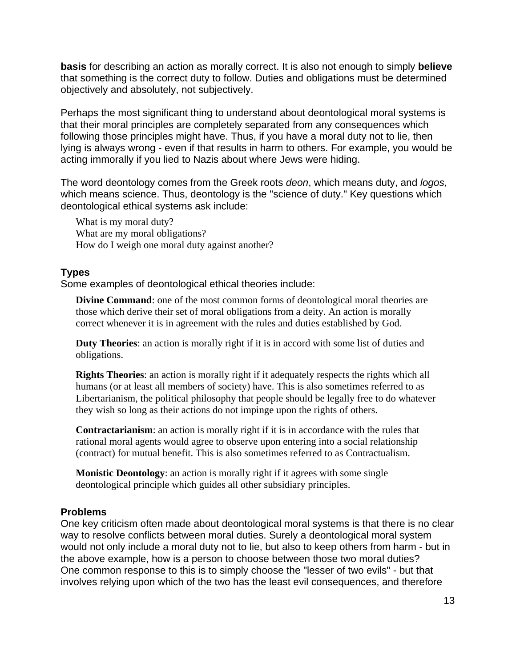**basis** for describing an action as morally correct. It is also not enough to simply **believe** that something is the correct duty to follow. Duties and obligations must be determined objectively and absolutely, not subjectively.

Perhaps the most significant thing to understand about deontological moral systems is that their moral principles are completely separated from any consequences which following those principles might have. Thus, if you have a moral duty not to lie, then lying is always wrong - even if that results in harm to others. For example, you would be acting immorally if you lied to Nazis about where Jews were hiding.

The word deontology comes from the Greek roots *deon*, which means duty, and *logos*, which means science. Thus, deontology is the "science of duty." Key questions which deontological ethical systems ask include:

What is my moral duty? What are my moral obligations? How do I weigh one moral duty against another?

### **Types**

Some examples of deontological ethical theories include:

**Divine Command**: one of the most common forms of deontological moral theories are those which derive their set of moral obligations from a deity. An action is morally correct whenever it is in agreement with the rules and duties established by God.

**Duty Theories**: an action is morally right if it is in accord with some list of duties and obligations.

**Rights Theories**: an action is morally right if it adequately respects the rights which all humans (or at least all members of society) have. This is also sometimes referred to as Libertarianism, the political philosophy that people should be legally free to do whatever they wish so long as their actions do not impinge upon the rights of others.

**Contractarianism**: an action is morally right if it is in accordance with the rules that rational moral agents would agree to observe upon entering into a social relationship (contract) for mutual benefit. This is also sometimes referred to as Contractualism.

**Monistic Deontology**: an action is morally right if it agrees with some single deontological principle which guides all other subsidiary principles.

### **Problems**

One key criticism often made about deontological moral systems is that there is no clear way to resolve conflicts between moral duties. Surely a deontological moral system would not only include a moral duty not to lie, but also to keep others from harm - but in the above example, how is a person to choose between those two moral duties? One common response to this is to simply choose the "lesser of two evils" - but that involves relying upon which of the two has the least evil consequences, and therefore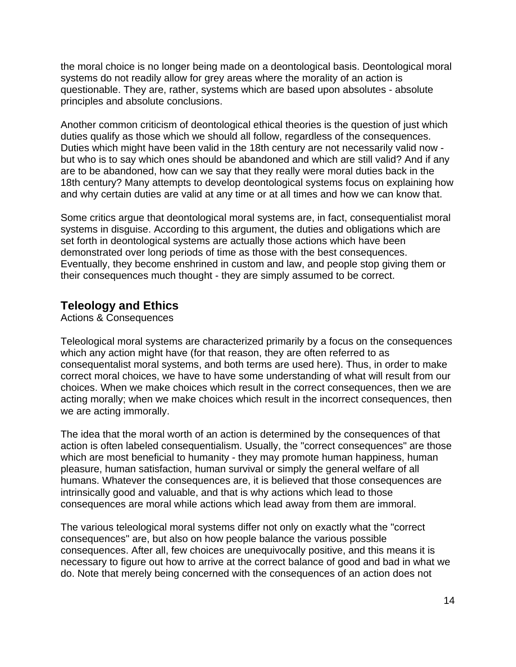<span id="page-13-0"></span>the moral choice is no longer being made on a deontological basis. Deontological moral systems do not readily allow for grey areas where the morality of an action is questionable. They are, rather, systems which are based upon absolutes - absolute principles and absolute conclusions.

Another common criticism of deontological ethical theories is the question of just which duties qualify as those which we should all follow, regardless of the consequences. Duties which might have been valid in the 18th century are not necessarily valid now but who is to say which ones should be abandoned and which are still valid? And if any are to be abandoned, how can we say that they really were moral duties back in the 18th century? Many attempts to develop deontological systems focus on explaining how and why certain duties are valid at any time or at all times and how we can know that.

Some critics argue that deontological moral systems are, in fact, consequentialist moral systems in disguise. According to this argument, the duties and obligations which are set forth in deontological systems are actually those actions which have been demonstrated over long periods of time as those with the best consequences. Eventually, they become enshrined in custom and law, and people stop giving them or their consequences much thought - they are simply assumed to be correct.

### **Teleology and Ethics**

Actions & Consequences

Teleological moral systems are characterized primarily by a focus on the consequences which any action might have (for that reason, they are often referred to as consequentalist moral systems, and both terms are used here). Thus, in order to make correct moral choices, we have to have some understanding of what will result from our choices. When we make choices which result in the correct consequences, then we are acting morally; when we make choices which result in the incorrect consequences, then we are acting immorally.

The idea that the moral worth of an action is determined by the consequences of that action is often labeled consequentialism. Usually, the "correct consequences" are those which are most beneficial to humanity - they may promote human happiness, human pleasure, human satisfaction, human survival or simply the general welfare of all humans. Whatever the consequences are, it is believed that those consequences are intrinsically good and valuable, and that is why actions which lead to those consequences are moral while actions which lead away from them are immoral.

The various teleological moral systems differ not only on exactly what the "correct consequences" are, but also on how people balance the various possible consequences. After all, few choices are unequivocally positive, and this means it is necessary to figure out how to arrive at the correct balance of good and bad in what we do. Note that merely being concerned with the consequences of an action does not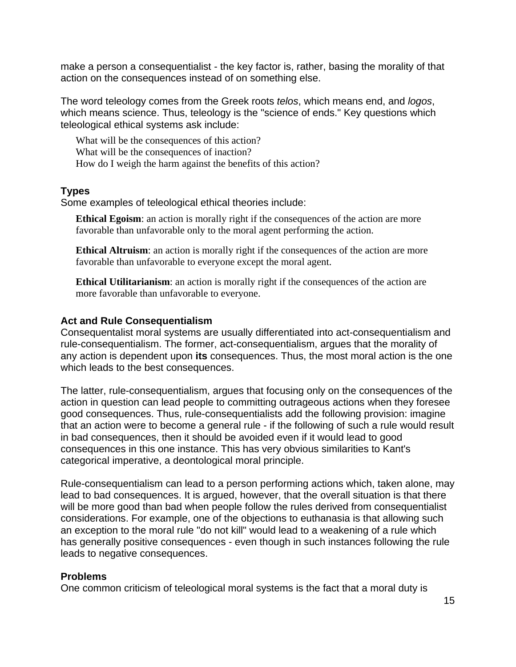make a person a consequentialist - the key factor is, rather, basing the morality of that action on the consequences instead of on something else.

The word teleology comes from the Greek roots *telos*, which means end, and *logos*, which means science. Thus, teleology is the "science of ends." Key questions which teleological ethical systems ask include:

What will be the consequences of this action? What will be the consequences of inaction? How do I weigh the harm against the benefits of this action?

### **Types**

Some examples of teleological ethical theories include:

**Ethical Egoism**: an action is morally right if the consequences of the action are more favorable than unfavorable only to the moral agent performing the action.

**Ethical Altruism**: an action is morally right if the consequences of the action are more favorable than unfavorable to everyone except the moral agent.

**Ethical Utilitarianism**: an action is morally right if the consequences of the action are more favorable than unfavorable to everyone.

### **Act and Rule Consequentialism**

Consequentalist moral systems are usually differentiated into act-consequentialism and rule-consequentialism. The former, act-consequentialism, argues that the morality of any action is dependent upon **its** consequences. Thus, the most moral action is the one which leads to the best consequences.

The latter, rule-consequentialism, argues that focusing only on the consequences of the action in question can lead people to committing outrageous actions when they foresee good consequences. Thus, rule-consequentialists add the following provision: imagine that an action were to become a general rule - if the following of such a rule would result in bad consequences, then it should be avoided even if it would lead to good consequences in this one instance. This has very obvious similarities to Kant's categorical imperative, a deontological moral principle.

Rule-consequentialism can lead to a person performing actions which, taken alone, may lead to bad consequences. It is argued, however, that the overall situation is that there will be more good than bad when people follow the rules derived from consequentialist considerations. For example, one of the objections to euthanasia is that allowing such an exception to the moral rule "do not kill" would lead to a weakening of a rule which has generally positive consequences - even though in such instances following the rule leads to negative consequences.

### **Problems**

One common criticism of teleological moral systems is the fact that a moral duty is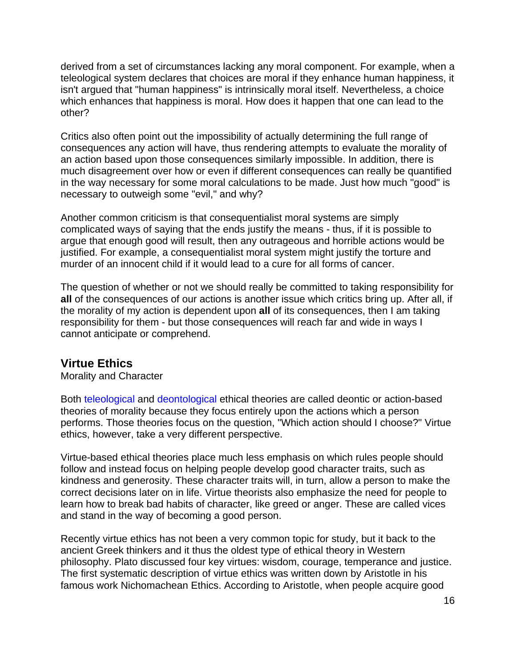<span id="page-15-0"></span>derived from a set of circumstances lacking any moral component. For example, when a teleological system declares that choices are moral if they enhance human happiness, it isn't argued that "human happiness" is intrinsically moral itself. Nevertheless, a choice which enhances that happiness is moral. How does it happen that one can lead to the other?

Critics also often point out the impossibility of actually determining the full range of consequences any action will have, thus rendering attempts to evaluate the morality of an action based upon those consequences similarly impossible. In addition, there is much disagreement over how or even if different consequences can really be quantified in the way necessary for some moral calculations to be made. Just how much "good" is necessary to outweigh some "evil," and why?

Another common criticism is that consequentialist moral systems are simply complicated ways of saying that the ends justify the means - thus, if it is possible to argue that enough good will result, then any outrageous and horrible actions would be justified. For example, a consequentialist moral system might justify the torture and murder of an innocent child if it would lead to a cure for all forms of cancer.

The question of whether or not we should really be committed to taking responsibility for **all** of the consequences of our actions is another issue which critics bring up. After all, if the morality of my action is dependent upon **all** of its consequences, then I am taking responsibility for them - but those consequences will reach far and wide in ways I cannot anticipate or comprehend.

### **Virtue Ethics**

Morality and Character

Both teleological and deontological ethical theories are called deontic or action-based theories of morality because they focus entirely upon the actions which a person performs. Those theories focus on the question, "Which action should I choose?" Virtue ethics, however, take a very different perspective.

Virtue-based ethical theories place much less emphasis on which rules people should follow and instead focus on helping people develop good character traits, such as kindness and generosity. These character traits will, in turn, allow a person to make the correct decisions later on in life. Virtue theorists also emphasize the need for people to learn how to break bad habits of character, like greed or anger. These are called vices and stand in the way of becoming a good person.

Recently virtue ethics has not been a very common topic for study, but it back to the ancient Greek thinkers and it thus the oldest type of ethical theory in Western philosophy. Plato discussed four key virtues: wisdom, courage, temperance and justice. The first systematic description of virtue ethics was written down by Aristotle in his famous work Nichomachean Ethics. According to Aristotle, when people acquire good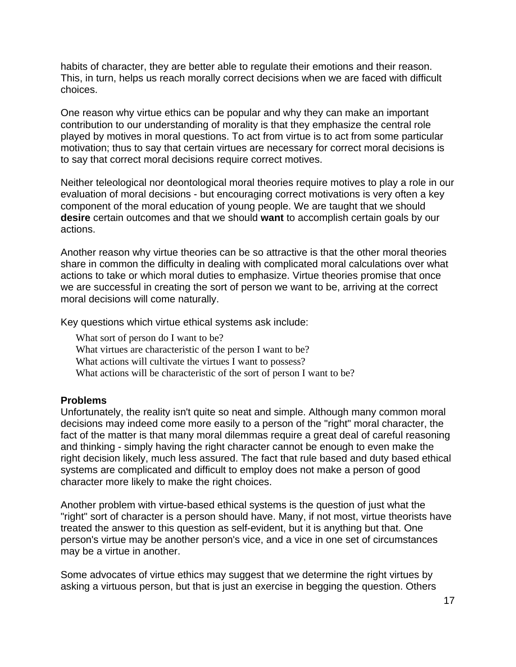habits of character, they are better able to regulate their emotions and their reason. This, in turn, helps us reach morally correct decisions when we are faced with difficult choices.

One reason why virtue ethics can be popular and why they can make an important contribution to our understanding of morality is that they emphasize the central role played by motives in moral questions. To act from virtue is to act from some particular motivation; thus to say that certain virtues are necessary for correct moral decisions is to say that correct moral decisions require correct motives.

Neither teleological nor deontological moral theories require motives to play a role in our evaluation of moral decisions - but encouraging correct motivations is very often a key component of the moral education of young people. We are taught that we should **desire** certain outcomes and that we should **want** to accomplish certain goals by our actions.

Another reason why virtue theories can be so attractive is that the other moral theories share in common the difficulty in dealing with complicated moral calculations over what actions to take or which moral duties to emphasize. Virtue theories promise that once we are successful in creating the sort of person we want to be, arriving at the correct moral decisions will come naturally.

Key questions which virtue ethical systems ask include:

What sort of person do I want to be? What virtues are characteristic of the person I want to be? What actions will cultivate the virtues I want to possess? What actions will be characteristic of the sort of person I want to be?

### **Problems**

Unfortunately, the reality isn't quite so neat and simple. Although many common moral decisions may indeed come more easily to a person of the "right" moral character, the fact of the matter is that many moral dilemmas require a great deal of careful reasoning and thinking - simply having the right character cannot be enough to even make the right decision likely, much less assured. The fact that rule based and duty based ethical systems are complicated and difficult to employ does not make a person of good character more likely to make the right choices.

Another problem with virtue-based ethical systems is the question of just what the "right" sort of character is a person should have. Many, if not most, virtue theorists have treated the answer to this question as self-evident, but it is anything but that. One person's virtue may be another person's vice, and a vice in one set of circumstances may be a virtue in another.

Some advocates of virtue ethics may suggest that we determine the right virtues by asking a virtuous person, but that is just an exercise in begging the question. Others